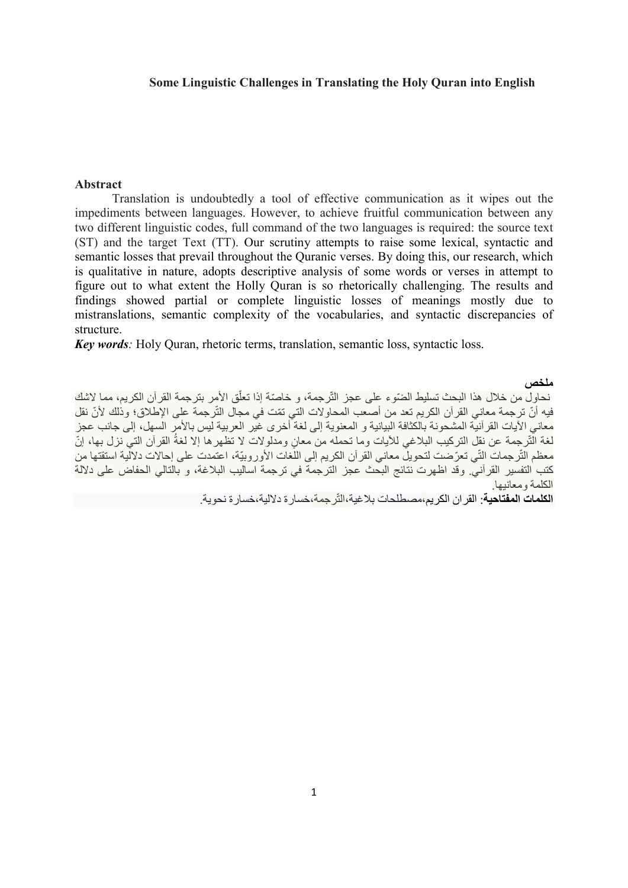### Some Linguistic Challenges in Translating the Holy Quran into English

### Abstract

Translation is undoubtedly a tool of effective communication as it wipes out the impediments between languages. However, to achieve fruitful communication between any two different linguistic codes, full command of the two languages is required: the source text (ST) and the target Text (TT). Our scrutiny attempts to raise some lexical, syntactic and semantic losses that prevail throughout the Quranic verses. By doing this, our research, which is qualitative in nature, adopts descriptive analysis of some words or verses in attempt to figure out to what extent the Holly Quran is so rhetorically challenging. The results and findings showed partial or complete linguistic losses of meanings mostly due to mistranslations, semantic complexity of the vocabularies, and syntactic discrepancies of structure.

Key words: Holy Quran, rhetoric terms, translation, semantic loss, syntactic loss.

### ملخص

نحاول من خلال هذا البحث تسليط الضّوء على عجز التّرجمة، و خاصّة إذا تعلّق الأمر بترجمة القرآن الكريم، مما لاشك فيه أنّ ترجمة معاني القرآن الكريم تعد من أصعب المحاولات التي تمّت في مجال التّرجمة على الإطلاق؛ وذلك لأنّ نقل معاني الآيات القرآنية المشحونة بالكثافة البيانية و المعنوية إلى لغة أخرى غير العربية ليس بالأمر السهل، إلى جانب عجز لغة الْتّرجمة عن نقل التركيب البلاغي للأيات وما تحمله من معانٍ ومدلولات لا تظهرها إلا لغةُ القرآن التي نزل بها، إنّ معظم التّرجمات التّي تعّرضت لتحويل معاني القرآن الكريم إلى اللغات الأوروبيّة، اعتمدت على إحالات دلالية استقتها من كتب التفسير القرآني. وقد اظهرت نتائج البحث عجز الترجمة في ترجمة اساليب البلاغة، و بالتالي الحفاض على دلالة الكلمة ومعانيها.

ا**لكلمات المفتاحية**: القر ان الكريم،مصطلحات بلاغية،التّر جمة،خسار ة دلالية،خسار ة نحوية.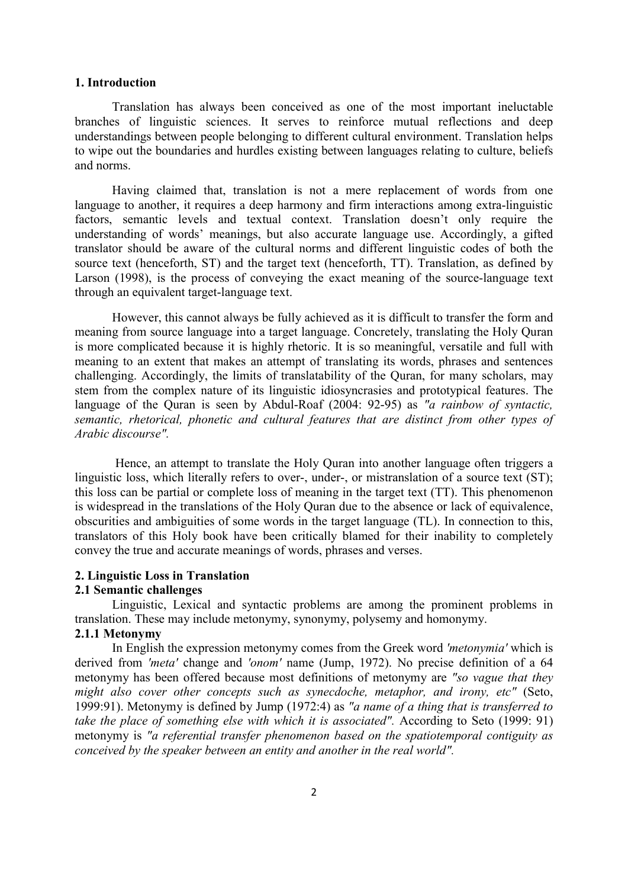#### 1. Introduction

Translation has always been conceived as one of the most important ineluctable branches of linguistic sciences. It serves to reinforce mutual reflections and deep understandings between people belonging to different cultural environment. Translation helps to wipe out the boundaries and hurdles existing between languages relating to culture, beliefs and norms.

Having claimed that, translation is not a mere replacement of words from one language to another, it requires a deep harmony and firm interactions among extra-linguistic factors, semantic levels and textual context. Translation doesn't only require the understanding of words' meanings, but also accurate language use. Accordingly, a gifted translator should be aware of the cultural norms and different linguistic codes of both the source text (henceforth, ST) and the target text (henceforth, TT). Translation, as defined by Larson (1998), is the process of conveying the exact meaning of the source-language text through an equivalent target-language text.

However, this cannot always be fully achieved as it is difficult to transfer the form and meaning from source language into a target language. Concretely, translating the Holy Quran is more complicated because it is highly rhetoric. It is so meaningful, versatile and full with meaning to an extent that makes an attempt of translating its words, phrases and sentences challenging. Accordingly, the limits of translatability of the Quran, for many scholars, may stem from the complex nature of its linguistic idiosyncrasies and prototypical features. The language of the Quran is seen by Abdul-Roaf (2004: 92-95) as "a rainbow of syntactic, semantic, rhetorical, phonetic and cultural features that are distinct from other types of Arabic discourse".

 Hence, an attempt to translate the Holy Quran into another language often triggers a linguistic loss, which literally refers to over-, under-, or mistranslation of a source text (ST); this loss can be partial or complete loss of meaning in the target text (TT). This phenomenon is widespread in the translations of the Holy Quran due to the absence or lack of equivalence, obscurities and ambiguities of some words in the target language (TL). In connection to this, translators of this Holy book have been critically blamed for their inability to completely convey the true and accurate meanings of words, phrases and verses.

### 2. Linguistic Loss in Translation

### 2.1 Semantic challenges

Linguistic, Lexical and syntactic problems are among the prominent problems in translation. These may include metonymy, synonymy, polysemy and homonymy.

### 2.1.1 Metonymy

In English the expression metonymy comes from the Greek word 'metonymia' which is derived from 'meta' change and 'onom' name (Jump, 1972). No precise definition of a 64 metonymy has been offered because most definitions of metonymy are "so vague that they might also cover other concepts such as synecdoche, metaphor, and irony, etc" (Seto, 1999:91). Metonymy is defined by Jump (1972:4) as "a name of a thing that is transferred to take the place of something else with which it is associated". According to Seto (1999: 91) metonymy is "a referential transfer phenomenon based on the spatiotemporal contiguity as conceived by the speaker between an entity and another in the real world".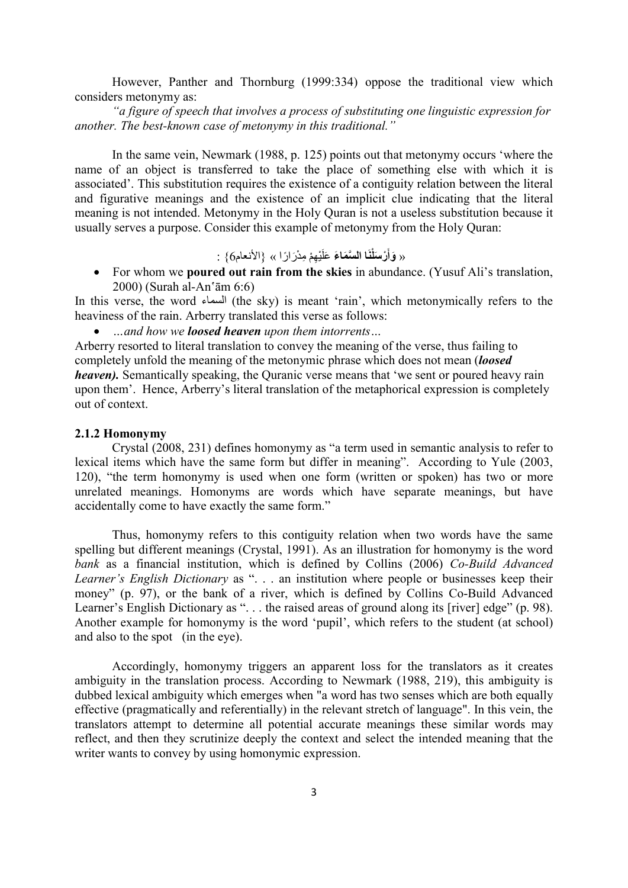However, Panther and Thornburg (1999:334) oppose the traditional view which considers metonymy as:

"a figure of speech that involves a process of substituting one linguistic expression for another. The best-known case of metonymy in this traditional."

In the same vein, Newmark (1988, p. 125) points out that metonymy occurs 'where the name of an object is transferred to take the place of something else with which it is associated'. This substitution requires the existence of a contiguity relation between the literal and figurative meanings and the existence of an implicit clue indicating that the literal meaning is not intended. Metonymy in the Holy Quran is not a useless substitution because it usually serves a purpose. Consider this example of metonymy from the Holy Quran:

« وَأَرْسَلْنَا السَّمَاءَ عَلَيْهِمْ مِدْرَارًا » {الأنعام6} :

• For whom we **poured out rain from the skies** in abundance. (Yusuf Ali's translation, 2000) (Surah al-An'ām 6:6)

In this verse, the word السماء) the sky) is meant 'rain', which metonymically refers to the heaviness of the rain. Arberry translated this verse as follows:

...and how we **loosed heaven** upon them intorrents...

Arberry resorted to literal translation to convey the meaning of the verse, thus failing to completely unfold the meaning of the metonymic phrase which does not mean *(loosed*) heaven). Semantically speaking, the Quranic verse means that 'we sent or poured heavy rain upon them'. Hence, Arberry's literal translation of the metaphorical expression is completely out of context.

### 2.1.2 Homonymy

 Crystal (2008, 231) defines homonymy as "a term used in semantic analysis to refer to lexical items which have the same form but differ in meaning". According to Yule (2003, 120), "the term homonymy is used when one form (written or spoken) has two or more unrelated meanings. Homonyms are words which have separate meanings, but have accidentally come to have exactly the same form."

Thus, homonymy refers to this contiguity relation when two words have the same spelling but different meanings (Crystal, 1991). As an illustration for homonymy is the word bank as a financial institution, which is defined by Collins (2006) Co-Build Advanced Learner's English Dictionary as ". . . an institution where people or businesses keep their money" (p. 97), or the bank of a river, which is defined by Collins Co-Build Advanced Learner's English Dictionary as "... the raised areas of ground along its [river] edge" (p. 98). Another example for homonymy is the word 'pupil', which refers to the student (at school) and also to the spot (in the eye).

Accordingly, homonymy triggers an apparent loss for the translators as it creates ambiguity in the translation process. According to Newmark (1988, 219), this ambiguity is dubbed lexical ambiguity which emerges when "a word has two senses which are both equally effective (pragmatically and referentially) in the relevant stretch of language". In this vein, the translators attempt to determine all potential accurate meanings these similar words may reflect, and then they scrutinize deeply the context and select the intended meaning that the writer wants to convey by using homonymic expression.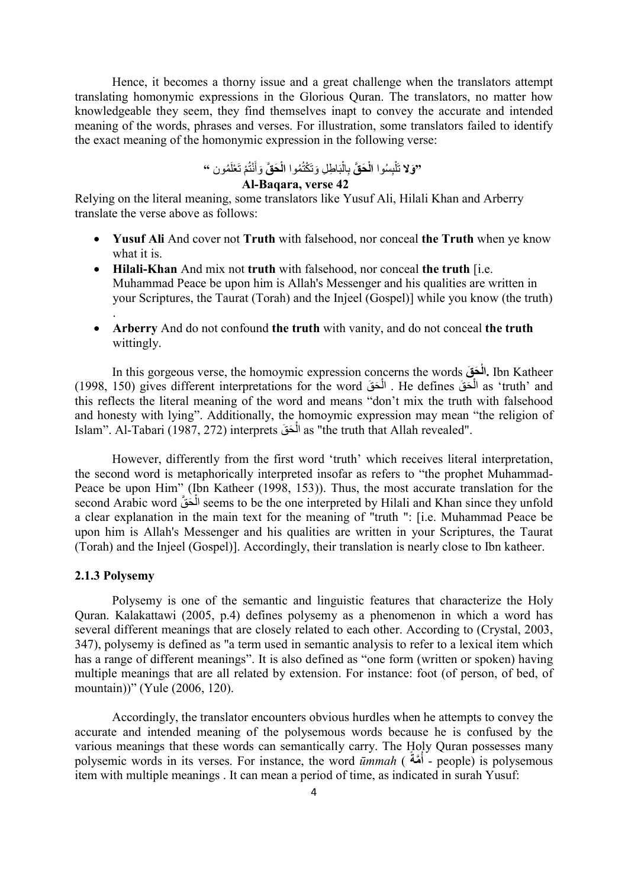Hence, it becomes a thorny issue and a great challenge when the translators attempt translating homonymic expressions in the Glorious Quran. The translators, no matter how knowledgeable they seem, they find themselves inapt to convey the accurate and intended meaning of the words, phrases and verses. For illustration, some translators failed to identify the exact meaning of the homonymic expression in the following verse:

> ْ "وَلا تَلْبِسُوا الْحَقَّ بِالْبَاطِلِ وَتَكْتُمُوا الْحَقَّ وَأَنْتُمْ تَعْلَمُون " ْ

### Al-Baqara, verse 42

Relying on the literal meaning, some translators like Yusuf Ali, Hilali Khan and Arberry translate the verse above as follows:

- Yusuf Ali And cover not Truth with falsehood, nor conceal the Truth when ye know what it is.
- $\bullet$  Hilali-Khan And mix not truth with falsehood, nor conceal the truth [i.e. Muhammad Peace be upon him is Allah's Messenger and his qualities are written in your Scriptures, the Taurat (Torah) and the Injeel (Gospel)] while you know (the truth)
- Arberry And do not confound the truth with vanity, and do not conceal the truth wittingly.

In this gorgeous verse, the homoymic expression concerns the words قَ حَ ْال. Ibn Katheer (1998, 150) gives different interpretations for the word أَلْحَقَ He defines (Let interpretations for the word ْ ْ this reflects the literal meaning of the word and means "don't mix the truth with falsehood and honesty with lying". Additionally, the homoymic expression may mean "the religion of Islam". Al-Tabari (1987, 272) interprets المَعَقَ as "the truth that Allah revealed". ْ

However, differently from the first word 'truth' which receives literal interpretation, the second word is metaphorically interpreted insofar as refers to "the prophet Muhammad-Peace be upon Him" (Ibn Katheer (1998, 153)). Thus, the most accurate translation for the second Arabic word الْحَقّ seems to be the one interpreted by Hilali and Khan since they unfold ْ a clear explanation in the main text for the meaning of "truth ": [i.e. Muhammad Peace be upon him is Allah's Messenger and his qualities are written in your Scriptures, the Taurat (Torah) and the Injeel (Gospel)]. Accordingly, their translation is nearly close to Ibn katheer.

#### 2.1.3 Polysemy

.

Polysemy is one of the semantic and linguistic features that characterize the Holy Quran. Kalakattawi (2005, p.4) defines polysemy as a phenomenon in which a word has several different meanings that are closely related to each other. According to (Crystal, 2003, 347), polysemy is defined as "a term used in semantic analysis to refer to a lexical item which has a range of different meanings". It is also defined as "one form (written or spoken) having multiple meanings that are all related by extension. For instance: foot (of person, of bed, of mountain))" (Yule (2006, 120).

Accordingly, the translator encounters obvious hurdles when he attempts to convey the accurate and intended meaning of the polysemous words because he is confused by the various meanings that these words can semantically carry. The Holy Quran possesses many polysemic words in its verses. For instance, the word  $\vec{u}$ *mmah* (أُهّةُ) - people) is polysemous item with multiple meanings . It can mean a period of time, as indicated in surah Yusuf: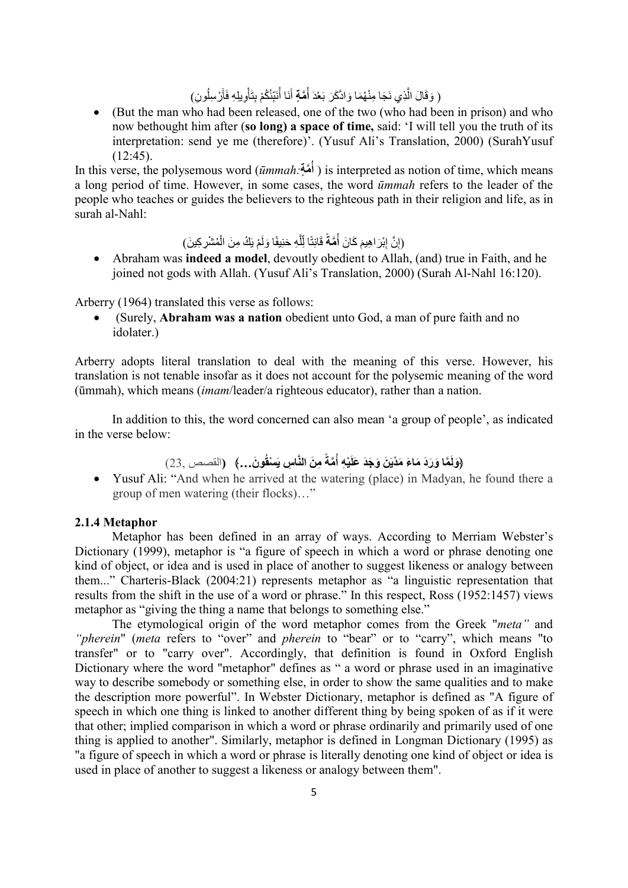#### ( وَقَالَ الَّذِي نَجَا مِنْهُمَا وَادَّكَرَ بَعْدَ أُمَّةٍ أَنَا أُنَبِّئُكُمْ بِتَأْوِيلِهِ فَأَرْسِلُونِ) ْ

 (But the man who had been released, one of the two (who had been in prison) and who now bethought him after (so long) a space of time, said: 'I will tell you the truth of its interpretation: send ye me (therefore)'. (Yusuf Ali's Translation, 2000) (SurahYusuf (12:45).

In this verse, the polysemous word ( $\bar{u}$ أَهَّةٍ) is interpreted as notion of time, which means a long period of time. However, in some cases, the word ūmmah refers to the leader of the people who teaches or guides the believers to the righteous path in their religion and life, as in surah al-Nahl:

> َ إِبْنَ إِبْرَ اهِيمَ كَانَ أُمَّةً قَانِتًا لِّلَّهِ حَنِيفًا وَلَمْ يَكُ مِنَ الْمُشْرِكِينَ) لَّ

 Abraham was indeed a model, devoutly obedient to Allah, (and) true in Faith, and he joined not gods with Allah. (Yusuf Ali's Translation, 2000) (Surah Al-Nahl 16:120).

Arberry (1964) translated this verse as follows:

 (Surely, Abraham was a nation obedient unto God, a man of pure faith and no idolater.)

Arberry adopts literal translation to deal with the meaning of this verse. However, his translation is not tenable insofar as it does not account for the polysemic meaning of the word (ūmmah), which means (imam/leader/a righteous educator), rather than a nation.

In addition to this, the word concerned can also mean 'a group of people', as indicated in the verse below:

- (وَلَمَّا وَرَدَ مَاءَ مَدْيَنَ وَجَدَ عَلَيْهِ أُمَّةً مِنَ النَّاسِ يَسْقُونَ...﴾ (القصص ,23)
- Yusuf Ali: "And when he arrived at the watering (place) in Madyan, he found there a group of men watering (their flocks)…"

### 2.1.4 Metaphor

Metaphor has been defined in an array of ways. According to Merriam Webster's Dictionary (1999), metaphor is "a figure of speech in which a word or phrase denoting one kind of object, or idea and is used in place of another to suggest likeness or analogy between them..." Charteris-Black (2004:21) represents metaphor as "a linguistic representation that results from the shift in the use of a word or phrase." In this respect, Ross (1952:1457) views metaphor as "giving the thing a name that belongs to something else."

The etymological origin of the word metaphor comes from the Greek "meta" and "pherein" (meta refers to "over" and pherein to "bear" or to "carry", which means "to transfer" or to "carry over". Accordingly, that definition is found in Oxford English Dictionary where the word "metaphor" defines as " a word or phrase used in an imaginative way to describe somebody or something else, in order to show the same qualities and to make the description more powerful". In Webster Dictionary, metaphor is defined as "A figure of speech in which one thing is linked to another different thing by being spoken of as if it were that other; implied comparison in which a word or phrase ordinarily and primarily used of one thing is applied to another". Similarly, metaphor is defined in Longman Dictionary (1995) as "a figure of speech in which a word or phrase is literally denoting one kind of object or idea is used in place of another to suggest a likeness or analogy between them".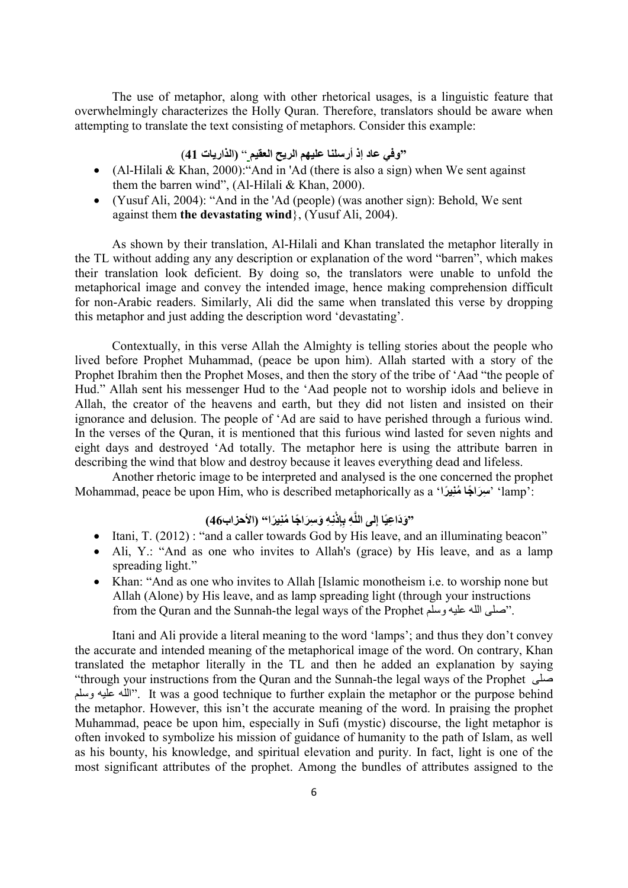The use of metaphor, along with other rhetorical usages, is a linguistic feature that overwhelmingly characterizes the Holly Quran. Therefore, translators should be aware when attempting to translate the text consisting of metaphors. Consider this example:

## "وفي عاد إذ أرسلنا عليهم الريح العقيم " (الذاريات 41)

- (Al-Hilali & Khan, 2000):"And in 'Ad (there is also a sign) when We sent against them the barren wind", (Al-Hilali & Khan, 2000).
- (Yusuf Ali, 2004): "And in the 'Ad (people) (was another sign): Behold, We sent against them the devastating wind}, (Yusuf Ali, 2004).

As shown by their translation, Al-Hilali and Khan translated the metaphor literally in the TL without adding any any description or explanation of the word "barren", which makes their translation look deficient. By doing so, the translators were unable to unfold the metaphorical image and convey the intended image, hence making comprehension difficult for non-Arabic readers. Similarly, Ali did the same when translated this verse by dropping this metaphor and just adding the description word 'devastating'.

Contextually, in this verse Allah the Almighty is telling stories about the people who lived before Prophet Muhammad, (peace be upon him). Allah started with a story of the Prophet Ibrahim then the Prophet Moses, and then the story of the tribe of 'Aad "the people of Hud." Allah sent his messenger Hud to the 'Aad people not to worship idols and believe in Allah, the creator of the heavens and earth, but they did not listen and insisted on their ignorance and delusion. The people of 'Ad are said to have perished through a furious wind. In the verses of the Quran, it is mentioned that this furious wind lasted for seven nights and eight days and destroyed 'Ad totally. The metaphor here is using the attribute barren in describing the wind that blow and destroy because it leaves everything dead and lifeless.

Another rhetoric image to be interpreted and analysed is the one concerned the prophet Mohammad, peace be upon Him, who is described metaphorically as a 'راً يِمنُ جاً راَسِ' ' lamp':

# "وَدَاعِيًا إلى اللَّهِ بِإِذْنِهِ وَسِرَاجًا مُنِيرًا" (الأحزاب46)

- $\bullet$  Itani, T. (2012) : "and a caller towards God by His leave, and an illuminating beacon"
- Ali, Y.: "And as one who invites to Allah's (grace) by His leave, and as a lamp spreading light."
- Khan: "And as one who invites to Allah [Islamic monotheism i.e. to worship none but Allah (Alone) by His leave, and as lamp spreading light (through your instructions from the Quran and the Sunnah-the legal ways of the Prophet وسلم عليه الله صلى".

Itani and Ali provide a literal meaning to the word 'lamps'; and thus they don't convey the accurate and intended meaning of the metaphorical image of the word. On contrary, Khan translated the metaphor literally in the TL and then he added an explanation by saying "through your instructions from the Quran and the Sunnah-the legal ways of the Prophet صلى وسلم عليه الله". It was a good technique to further explain the metaphor or the purpose behind the metaphor. However, this isn't the accurate meaning of the word. In praising the prophet Muhammad, peace be upon him, especially in Sufi (mystic) discourse, the light metaphor is often invoked to symbolize his mission of guidance of humanity to the path of Islam, as well as his bounty, his knowledge, and spiritual elevation and purity. In fact, light is one of the most significant attributes of the prophet. Among the bundles of attributes assigned to the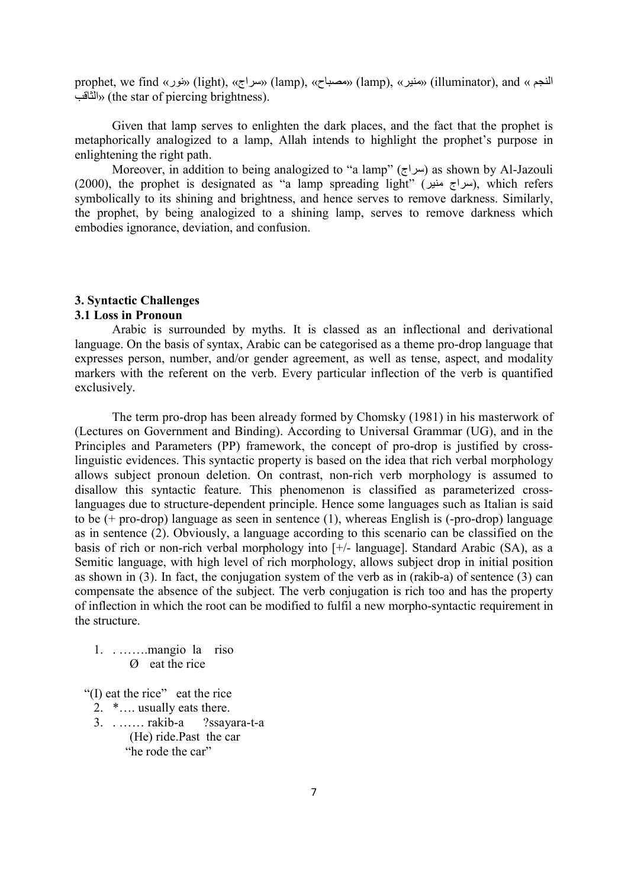prophet, we find «نور) «light), «سراج) «lamp), «مصباح) «lamp), «منير) «illuminator), and « النجم الثاقب) «the star of piercing brightness).

Given that lamp serves to enlighten the dark places, and the fact that the prophet is metaphorically analogized to a lamp, Allah intends to highlight the prophet's purpose in enlightening the right path.

Moreover, in addition to being analogized to "a lamp" (سراج) as shown by Al-Jazouli (2000), the prophet is designated as "a lamp spreading light" (سراج منير), which refers symbolically to its shining and brightness, and hence serves to remove darkness. Similarly, the prophet, by being analogized to a shining lamp, serves to remove darkness which embodies ignorance, deviation, and confusion.

### 3. Syntactic Challenges

### 3.1 Loss in Pronoun

Arabic is surrounded by myths. It is classed as an inflectional and derivational language. On the basis of syntax, Arabic can be categorised as a theme pro-drop language that expresses person, number, and/or gender agreement, as well as tense, aspect, and modality markers with the referent on the verb. Every particular inflection of the verb is quantified exclusively.

The term pro-drop has been already formed by Chomsky (1981) in his masterwork of (Lectures on Government and Binding). According to Universal Grammar (UG), and in the Principles and Parameters (PP) framework, the concept of pro-drop is justified by crosslinguistic evidences. This syntactic property is based on the idea that rich verbal morphology allows subject pronoun deletion. On contrast, non-rich verb morphology is assumed to disallow this syntactic feature. This phenomenon is classified as parameterized crosslanguages due to structure-dependent principle. Hence some languages such as Italian is said to be (+ pro-drop) language as seen in sentence (1), whereas English is (-pro-drop) language as in sentence (2). Obviously, a language according to this scenario can be classified on the basis of rich or non-rich verbal morphology into [+/- language]. Standard Arabic (SA), as a Semitic language, with high level of rich morphology, allows subject drop in initial position as shown in (3). In fact, the conjugation system of the verb as in (rakib-a) of sentence (3) can compensate the absence of the subject. The verb conjugation is rich too and has the property of inflection in which the root can be modified to fulfil a new morpho-syntactic requirement in the structure.

1. . …….mangio la riso Ø eat the rice

"(I) eat the rice" eat the rice

2. \*…. usually eats there.

3. . …… rakib-a ?ssayara-t-a (He) ride.Past the car "he rode the car"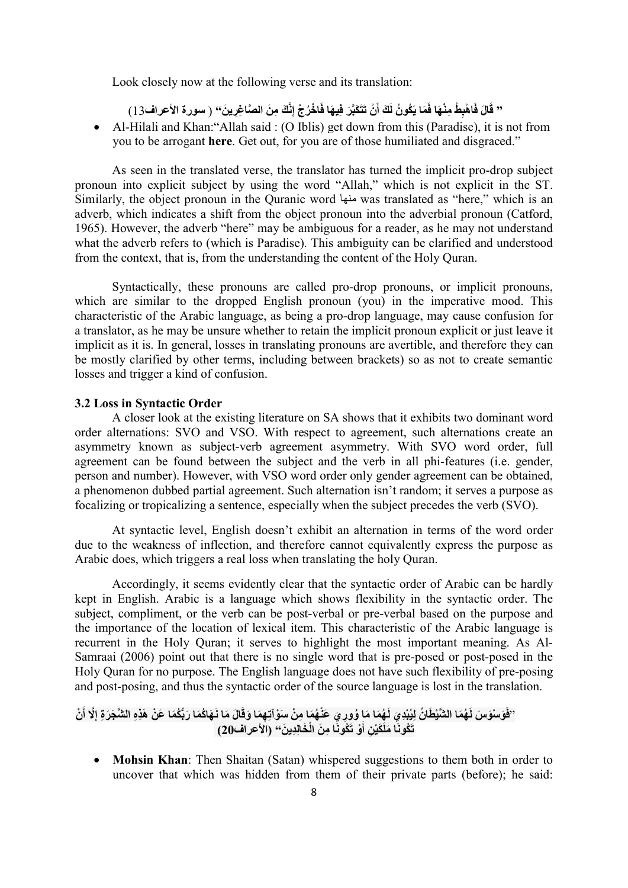Look closely now at the following verse and its translation:

" قَالَ فَاهْبِطْ مِنْهَا فَمَا يَكُونُ لَكَ أَنْ تَتَكَبَّرَ فِيهَا فَاخْرُجْ إِنَّكَ مِنَ الصَّاغِرِينَ" ( سورة الأعراف13)

 Al-Hilali and Khan:"Allah said : (O Iblis) get down from this (Paradise), it is not from you to be arrogant here. Get out, for you are of those humiliated and disgraced."

As seen in the translated verse, the translator has turned the implicit pro-drop subject pronoun into explicit subject by using the word "Allah," which is not explicit in the ST. Similarly, the object pronoun in the Quranic word منها was translated as "here," which is an adverb, which indicates a shift from the object pronoun into the adverbial pronoun (Catford, 1965). However, the adverb "here" may be ambiguous for a reader, as he may not understand what the adverb refers to (which is Paradise). This ambiguity can be clarified and understood from the context, that is, from the understanding the content of the Holy Quran.

Syntactically, these pronouns are called pro-drop pronouns, or implicit pronouns, which are similar to the dropped English pronoun (you) in the imperative mood. This characteristic of the Arabic language, as being a pro-drop language, may cause confusion for a translator, as he may be unsure whether to retain the implicit pronoun explicit or just leave it implicit as it is. In general, losses in translating pronouns are avertible, and therefore they can be mostly clarified by other terms, including between brackets) so as not to create semantic losses and trigger a kind of confusion.

### 3.2 Loss in Syntactic Order

A closer look at the existing literature on SA shows that it exhibits two dominant word order alternations: SVO and VSO. With respect to agreement, such alternations create an asymmetry known as subject-verb agreement asymmetry. With SVO word order, full agreement can be found between the subject and the verb in all phi-features (i.e. gender, person and number). However, with VSO word order only gender agreement can be obtained, a phenomenon dubbed partial agreement. Such alternation isn't random; it serves a purpose as focalizing or tropicalizing a sentence, especially when the subject precedes the verb (SVO).

At syntactic level, English doesn't exhibit an alternation in terms of the word order due to the weakness of inflection, and therefore cannot equivalently express the purpose as Arabic does, which triggers a real loss when translating the holy Quran.

Accordingly, it seems evidently clear that the syntactic order of Arabic can be hardly kept in English. Arabic is a language which shows flexibility in the syntactic order. The subject, compliment, or the verb can be post-verbal or pre-verbal based on the purpose and the importance of the location of lexical item. This characteristic of the Arabic language is recurrent in the Holy Quran; it serves to highlight the most important meaning. As Al-Samraai (2006) point out that there is no single word that is pre-posed or post-posed in the Holy Quran for no purpose. The English language does not have such flexibility of pre-posing and post-posing, and thus the syntactic order of the source language is lost in the translation.

ل ُه َما َما ُو َي " َ ُه َما ال َّشْي َطا ُن ِليُ ْبِد َو ْسَو َس لَ ف ْن َ َّلا أَ َها ُكَما َربُّ ُكَما َع ْن َهِذِه ال َّش َج َر ِة إِ ا َل َما نَ ِه َما َوقَ وِر َي َعْن ُه َما ِم ْن َسْوآتِ ْو تَ ُكوَنا ِم َن الْ َخاِلِدي َن َكْي ِن أَ تَ ُكونَا َمل " (الأعراف20) َ

• Mohsin Khan: Then Shaitan (Satan) whispered suggestions to them both in order to uncover that which was hidden from them of their private parts (before); he said: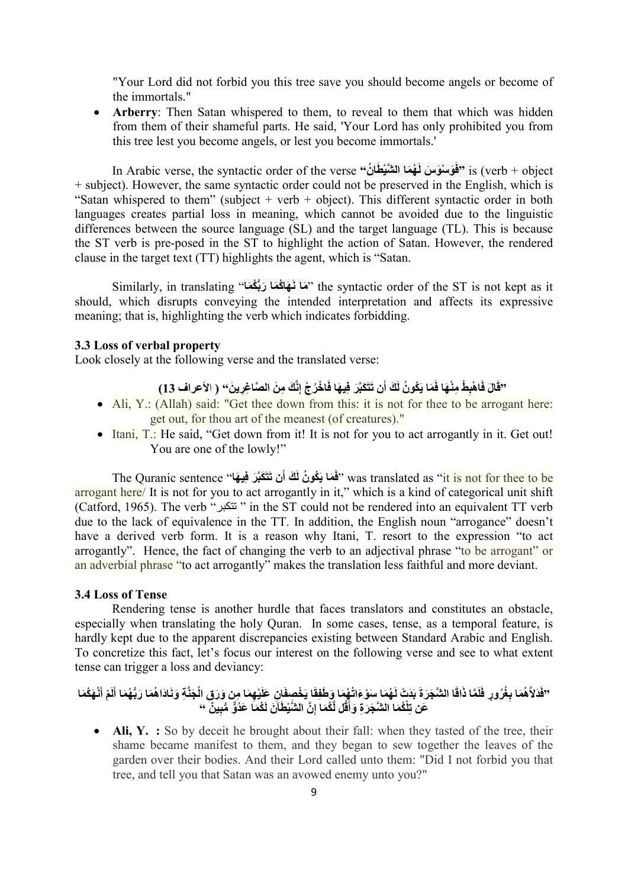"Your Lord did not forbid you this tree save you should become angels or become of the immortals."

 Arberry: Then Satan whispered to them, to reveal to them that which was hidden from them of their shameful parts. He said, 'Your Lord has only prohibited you from this tree lest you become angels, or lest you become immortals.'

In Arabic verse, the syntactic order of the verse "فَوَسْوَسَ لَـهُمَا الشَّيْطَانُ" is (verb + object + subject). However, the same syntactic order could not be preserved in the English, which is "Satan whispered to them" (subject  $+$  verb  $+$  object). This different syntactic order in both languages creates partial loss in meaning, which cannot be avoided due to the linguistic differences between the source language (SL) and the target language (TL). This is because the ST verb is pre-posed in the ST to highlight the action of Satan. However, the rendered clause in the target text (TT) highlights the agent, which is "Satan.

Similarly, in translating ''هَا نَـهَاكُمَا رَبُّكُمَا'' the syntactic order of the ST is not kept as it should, which disrupts conveying the intended interpretation and affects its expressive meaning; that is, highlighting the verb which indicates forbidding.

### 3.3 Loss of verbal property

Look closely at the following verse and the translated verse:

# َّقَالَ فَاهْبِطْ مِنْهَا فَمَا يَكُونُ لَكَ أَن تَتَكَبَّرَ فِيهَا فَاخْرُجْ إِنَّكَ مِنَ الصَّاغِرِينَ" ( الأعراف 13)

- Ali, Y.: (Allah) said: "Get thee down from this: it is not for thee to be arrogant here: get out, for thou art of the meanest (of creatures)."
- Itani, T.: He said, "Get down from it! It is not for you to act arrogantly in it. Get out! You are one of the lowly!"

The Quranic sentence ''فَمَا يَكُونُ لَكَ أَن تَتَكَبَّرَ فِيهَا ''was translated as ''it is not for thee to be arrogant here/ It is not for you to act arrogantly in it," which is a kind of categorical unit shift (Catford, 1965). The verb "تتكبر " in the ST could not be rendered into an equivalent TT verb due to the lack of equivalence in the TT. In addition, the English noun "arrogance" doesn't have a derived verb form. It is a reason why Itani, T. resort to the expression "to act arrogantly". Hence, the fact of changing the verb to an adjectival phrase "to be arrogant" or an adverbial phrase "to act arrogantly" makes the translation less faithful and more deviant.

### 3.4 Loss of Tense

Rendering tense is another hurdle that faces translators and constitutes an obstacle, especially when translating the holy Quran. In some cases, tense, as a temporal feature, is hardly kept due to the apparent discrepancies existing between Standard Arabic and English. To concretize this fact, let's focus our interest on the following verse and see to what extent tense can trigger a loss and deviancy:

### "فَذَلاَّهُمَا بِغُرُورٍ فَلَمَّا ذَاقَا الشَّجَرَةَ بَدَتْ لَهُمَا سَوْءَاتُهُمَا وَطَفِّقَا يَخْصفَانِ عَلَيْهِمَا مِن وَرَقٍ الْجَذَّةِ وَنَادَاهُمَا رَبُّهُمَا أَلَمْ أَنْهَكُمَا عَن تِلْكُمَا الشَّجَرَةِ وَأَقُل لِّكُمَا إِنَّ الشَّيْطَآنَ لَكُمَا عَدُوٌّ مُّبِينٌ ۚ "

• Ali, Y. : So by deceit he brought about their fall: when they tasted of the tree, their shame became manifest to them, and they began to sew together the leaves of the garden over their bodies. And their Lord called unto them: "Did I not forbid you that tree, and tell you that Satan was an avowed enemy unto you?"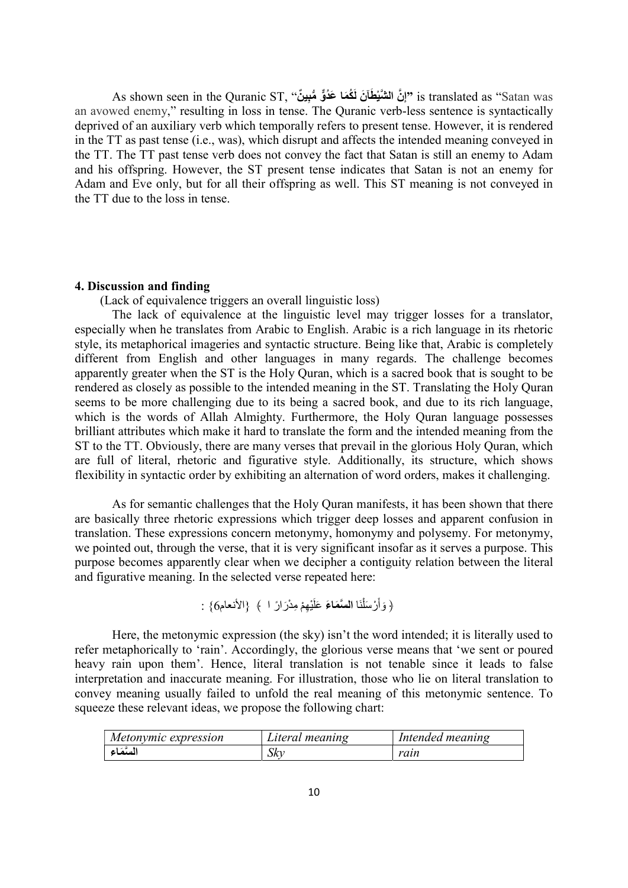As shown seen in the Quranic ST, ''إِنَّ الشَّيْطَآنَ لَكُمَا عَدُوٌّ مُّبِينٌ '' is translated as ''Satan was an avowed enemy," resulting in loss in tense. The Quranic verb-less sentence is syntactically deprived of an auxiliary verb which temporally refers to present tense. However, it is rendered in the TT as past tense (i.e., was), which disrupt and affects the intended meaning conveyed in the TT. The TT past tense verb does not convey the fact that Satan is still an enemy to Adam and his offspring. However, the ST present tense indicates that Satan is not an enemy for Adam and Eve only, but for all their offspring as well. This ST meaning is not conveyed in the TT due to the loss in tense.

#### 4. Discussion and finding

(Lack of equivalence triggers an overall linguistic loss)

The lack of equivalence at the linguistic level may trigger losses for a translator, especially when he translates from Arabic to English. Arabic is a rich language in its rhetoric style, its metaphorical imageries and syntactic structure. Being like that, Arabic is completely different from English and other languages in many regards. The challenge becomes apparently greater when the ST is the Holy Quran, which is a sacred book that is sought to be rendered as closely as possible to the intended meaning in the ST. Translating the Holy Quran seems to be more challenging due to its being a sacred book, and due to its rich language, which is the words of Allah Almighty. Furthermore, the Holy Quran language possesses brilliant attributes which make it hard to translate the form and the intended meaning from the ST to the TT. Obviously, there are many verses that prevail in the glorious Holy Quran, which are full of literal, rhetoric and figurative style. Additionally, its structure, which shows flexibility in syntactic order by exhibiting an alternation of word orders, makes it challenging.

As for semantic challenges that the Holy Quran manifests, it has been shown that there are basically three rhetoric expressions which trigger deep losses and apparent confusion in translation. These expressions concern metonymy, homonymy and polysemy. For metonymy, we pointed out, through the verse, that it is very significant insofar as it serves a purpose. This purpose becomes apparently clear when we decipher a contiguity relation between the literal and figurative meaning. In the selected verse repeated here:

```
﴿ وَأَرْسَلْنَا السَّمَاعَ عَلَيْهِمْ مِدْرَارً ا ﴾ {الأنعام6} :
                                            اُ
```
Here, the metonymic expression (the sky) isn't the word intended; it is literally used to refer metaphorically to 'rain'. Accordingly, the glorious verse means that 'we sent or poured heavy rain upon them'. Hence, literal translation is not tenable since it leads to false interpretation and inaccurate meaning. For illustration, those who lie on literal translation to convey meaning usually failed to unfold the real meaning of this metonymic sentence. To squeeze these relevant ideas, we propose the following chart:

| Metonymic expression | Literal meaning | Intended meaning |
|----------------------|-----------------|------------------|
| المتمّاء             | ∵ن∦د            | raın             |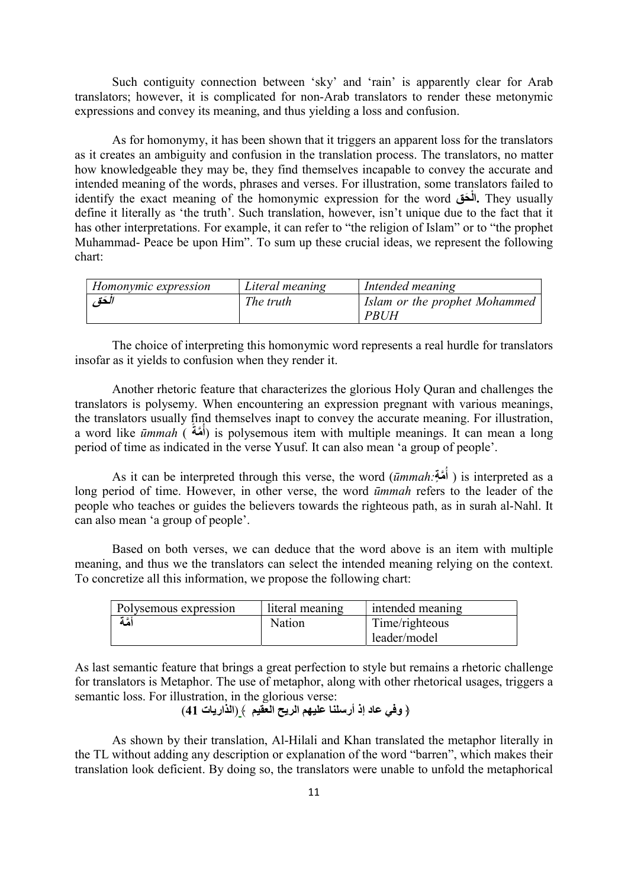Such contiguity connection between 'sky' and 'rain' is apparently clear for Arab translators; however, it is complicated for non-Arab translators to render these metonymic expressions and convey its meaning, and thus yielding a loss and confusion.

As for homonymy, it has been shown that it triggers an apparent loss for the translators as it creates an ambiguity and confusion in the translation process. The translators, no matter how knowledgeable they may be, they find themselves incapable to convey the accurate and intended meaning of the words, phrases and verses. For illustration, some translators failed to identify the exact meaning of the homonymic expression for the word حقَ ْال. They usually define it literally as 'the truth'. Such translation, however, isn't unique due to the fact that it has other interpretations. For example, it can refer to "the religion of Islam" or to "the prophet Muhammad- Peace be upon Him". To sum up these crucial ideas, we represent the following chart:

| Homonymic expression | Literal meaning | Intended meaning              |
|----------------------|-----------------|-------------------------------|
| الكقى                | The truth       | Islam or the prophet Mohammed |
|                      |                 | PRUH                          |

The choice of interpreting this homonymic word represents a real hurdle for translators insofar as it yields to confusion when they render it.

Another rhetoric feature that characterizes the glorious Holy Quran and challenges the translators is polysemy. When encountering an expression pregnant with various meanings, the translators usually find themselves inapt to convey the accurate meaning. For illustration, a word like *ūmmah* (أُهَّةٌ) is polysemous item with multiple meanings. It can mean a long period of time as indicated in the verse Yusuf. It can also mean 'a group of people'.

As it can be interpreted through this verse, the word (immah:أَهَةٍ) is interpreted as a long period of time. However, in other verse, the word *ūmmah* refers to the leader of the people who teaches or guides the believers towards the righteous path, as in surah al-Nahl. It can also mean 'a group of people'.

Based on both verses, we can deduce that the word above is an item with multiple meaning, and thus we the translators can select the intended meaning relying on the context. To concretize all this information, we propose the following chart:

| Polysemous expression | literal meaning | intended meaning |
|-----------------------|-----------------|------------------|
| أمَّة                 | Nation          | Time/righteous   |
|                       |                 | leader/model     |

As last semantic feature that brings a great perfection to style but remains a rhetoric challenge for translators is Metaphor. The use of metaphor, along with other rhetorical usages, triggers a semantic loss. For illustration, in the glorious verse:

```
﴿ وفي عاد إذ أرسلنا عليهم الريح العقيم ﴾ (الذاريات 41)
```
As shown by their translation, Al-Hilali and Khan translated the metaphor literally in the TL without adding any description or explanation of the word "barren", which makes their translation look deficient. By doing so, the translators were unable to unfold the metaphorical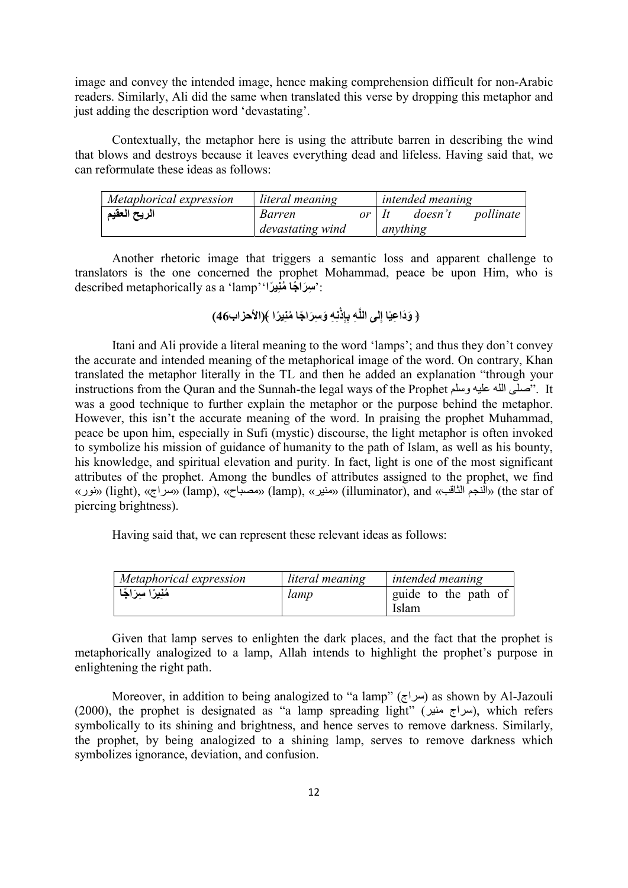image and convey the intended image, hence making comprehension difficult for non-Arabic readers. Similarly, Ali did the same when translated this verse by dropping this metaphor and just adding the description word 'devastating'.

Contextually, the metaphor here is using the attribute barren in describing the wind that blows and destroys because it leaves everything dead and lifeless. Having said that, we can reformulate these ideas as follows:

| Metaphorical expression | literal meaning  |         |          | <i>intended meaning</i> |           |
|-------------------------|------------------|---------|----------|-------------------------|-----------|
| الريح العقيم            | Barren           | $or$ It |          | doesn't                 | pollinate |
|                         | devastating wind |         | anything |                         |           |

Another rhetoric image that triggers a semantic loss and apparent challenge to translators is the one concerned the prophet Mohammad, peace be upon Him, who is described metaphorically as a 'lamp''':

ِه نِ ِه ﴿ َو َدا ِعيًا ِإلى اللَّ ِِإذْ ب َو ِسَرا ًجا ُمنِي ًرا ﴾(الأحزاب46)

Itani and Ali provide a literal meaning to the word 'lamps'; and thus they don't convey the accurate and intended meaning of the metaphorical image of the word. On contrary, Khan translated the metaphor literally in the TL and then he added an explanation "through your instructions from the Quran and the Sunnah-the legal ways of the Prophet وسلم عليه الله صلى". It was a good technique to further explain the metaphor or the purpose behind the metaphor. However, this isn't the accurate meaning of the word. In praising the prophet Muhammad, peace be upon him, especially in Sufi (mystic) discourse, the light metaphor is often invoked to symbolize his mission of guidance of humanity to the path of Islam, as well as his bounty, his knowledge, and spiritual elevation and purity. In fact, light is one of the most significant attributes of the prophet. Among the bundles of attributes assigned to the prophet, we find «نور) «light), «سراج) «lamp), «مصباح) «lamp), «منير) «illuminator), and «الثاقب النجم) «the star of piercing brightness).

Having said that, we can represent these relevant ideas as follows:

| Metaphorical expression | literal meaning | <i>intended meaning</i>       |
|-------------------------|-----------------|-------------------------------|
| مُنِيرًا سِرَاجًا       | lamp            | guide to the path of<br>Islam |

Given that lamp serves to enlighten the dark places, and the fact that the prophet is metaphorically analogized to a lamp, Allah intends to highlight the prophet's purpose in enlightening the right path.

Moreover, in addition to being analogized to "a lamp" (سراج) as shown by Al-Jazouli (2000), the prophet is designated as "a lamp spreading light" ( $\mu$ ( $\mu$ ( $\mu$  $\tau$ ), which refers symbolically to its shining and brightness, and hence serves to remove darkness. Similarly, the prophet, by being analogized to a shining lamp, serves to remove darkness which symbolizes ignorance, deviation, and confusion.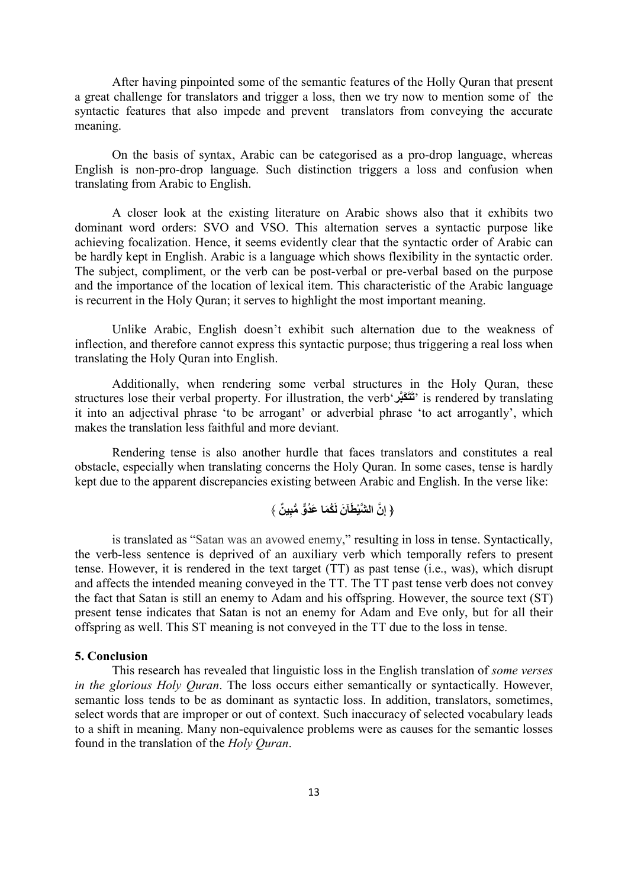After having pinpointed some of the semantic features of the Holly Quran that present a great challenge for translators and trigger a loss, then we try now to mention some of the syntactic features that also impede and prevent translators from conveying the accurate meaning.

On the basis of syntax, Arabic can be categorised as a pro-drop language, whereas English is non-pro-drop language. Such distinction triggers a loss and confusion when translating from Arabic to English.

A closer look at the existing literature on Arabic shows also that it exhibits two dominant word orders: SVO and VSO. This alternation serves a syntactic purpose like achieving focalization. Hence, it seems evidently clear that the syntactic order of Arabic can be hardly kept in English. Arabic is a language which shows flexibility in the syntactic order. The subject, compliment, or the verb can be post-verbal or pre-verbal based on the purpose and the importance of the location of lexical item. This characteristic of the Arabic language is recurrent in the Holy Quran; it serves to highlight the most important meaning.

Unlike Arabic, English doesn't exhibit such alternation due to the weakness of inflection, and therefore cannot express this syntactic purpose; thus triggering a real loss when translating the Holy Quran into English.

Additionally, when rendering some verbal structures in the Holy Quran, these structures lose their verbal property. For illustration, the verb'كبَّرَ َتَت 'is rendered by translating it into an adjectival phrase 'to be arrogant' or adverbial phrase 'to act arrogantly', which makes the translation less faithful and more deviant.

Rendering tense is also another hurdle that faces translators and constitutes a real obstacle, especially when translating concerns the Holy Quran. In some cases, tense is hardly kept due to the apparent discrepancies existing between Arabic and English. In the verse like:

$$
\langle
$$
 إِنَّ الُثَنَّيُظَآنَ لَكُمَا عَدُوُّ مُبِينُ

is translated as "Satan was an avowed enemy," resulting in loss in tense. Syntactically, the verb-less sentence is deprived of an auxiliary verb which temporally refers to present tense. However, it is rendered in the text target (TT) as past tense (i.e., was), which disrupt and affects the intended meaning conveyed in the TT. The TT past tense verb does not convey the fact that Satan is still an enemy to Adam and his offspring. However, the source text (ST) present tense indicates that Satan is not an enemy for Adam and Eve only, but for all their offspring as well. This ST meaning is not conveyed in the TT due to the loss in tense.

### 5. Conclusion

This research has revealed that linguistic loss in the English translation of some verses in the glorious Holy Quran. The loss occurs either semantically or syntactically. However, semantic loss tends to be as dominant as syntactic loss. In addition, translators, sometimes, select words that are improper or out of context. Such inaccuracy of selected vocabulary leads to a shift in meaning. Many non-equivalence problems were as causes for the semantic losses found in the translation of the Holy Quran.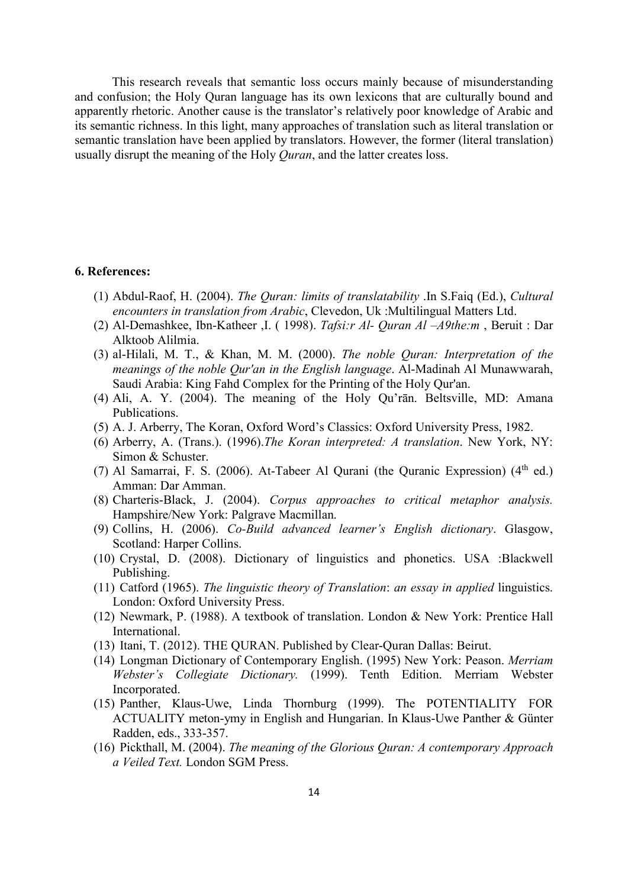This research reveals that semantic loss occurs mainly because of misunderstanding and confusion; the Holy Quran language has its own lexicons that are culturally bound and apparently rhetoric. Another cause is the translator's relatively poor knowledge of Arabic and its semantic richness. In this light, many approaches of translation such as literal translation or semantic translation have been applied by translators. However, the former (literal translation) usually disrupt the meaning of the Holy *Quran*, and the latter creates loss.

### 6. References:

- (1) Abdul-Raof, H. (2004). The Quran: limits of translatability .In S.Faiq (Ed.), Cultural encounters in translation from Arabic, Clevedon, Uk :Multilingual Matters Ltd.
- (2) Al-Demashkee, Ibn-Katheer ,I. ( 1998). Tafsi:r Al- Quran Al –A9the:m , Beruit : Dar Alktoob Alilmia.
- (3) al-Hilali, M. T., & Khan, M. M. (2000). The noble Quran: Interpretation of the meanings of the noble Qur'an in the English language. Al-Madinah Al Munawwarah, Saudi Arabia: King Fahd Complex for the Printing of the Holy Qur'an.
- (4) Ali, A. Y. (2004). The meaning of the Holy Qu'rān. Beltsville, MD: Amana Publications.
- (5) A. J. Arberry, The Koran, Oxford Word's Classics: Oxford University Press, 1982.
- (6) Arberry, A. (Trans.). (1996).The Koran interpreted: A translation. New York, NY: Simon & Schuster.
- (7) Al Samarrai, F. S. (2006). At-Tabeer Al Qurani (the Quranic Expression)  $(4<sup>th</sup>$  ed.) Amman: Dar Amman.
- (8) Charteris-Black, J. (2004). Corpus approaches to critical metaphor analysis. Hampshire/New York: Palgrave Macmillan.
- (9) Collins, H. (2006). Co-Build advanced learner's English dictionary. Glasgow, Scotland: Harper Collins.
- (10) Crystal, D. (2008). Dictionary of linguistics and phonetics. USA :Blackwell Publishing.
- (11) Catford (1965). The linguistic theory of Translation: an essay in applied linguistics. London: Oxford University Press.
- (12) Newmark, P. (1988). A textbook of translation. London & New York: Prentice Hall International.
- (13) Itani, T. (2012). THE QURAN. Published by Clear-Quran Dallas: Beirut.
- (14) Longman Dictionary of Contemporary English. (1995) New York: Peason. Merriam Webster's Collegiate Dictionary. (1999). Tenth Edition. Merriam Webster Incorporated.
- (15) Panther, Klaus-Uwe, Linda Thornburg (1999). The POTENTIALITY FOR ACTUALITY meton-ymy in English and Hungarian. In Klaus-Uwe Panther & Günter Radden, eds., 333-357.
- (16) Pickthall, M. (2004). The meaning of the Glorious Quran: A contemporary Approach a Veiled Text. London SGM Press.